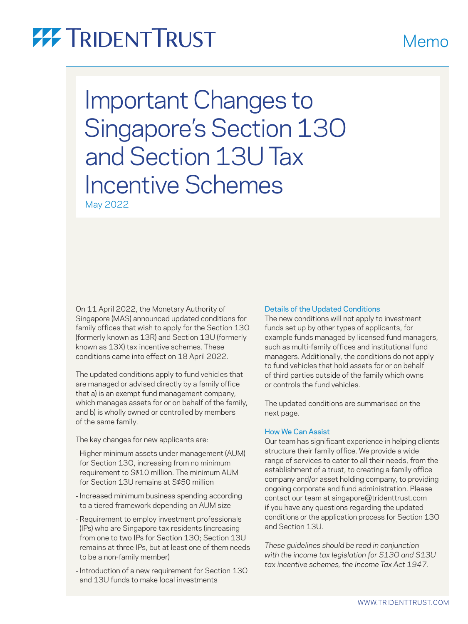# **77 TRIDENTTRUST**

Important Changes to Singapore's Section 13O and Section 13U Tax Incentive Schemes May 2022

On 11 April 2022, the Monetary Authority of Singapore (MAS) announced updated conditions for family offices that wish to apply for the Section 13O (formerly known as 13R) and Section 13U (formerly known as 13X) tax incentive schemes. These conditions came into effect on 18 April 2022.

The updated conditions apply to fund vehicles that are managed or advised directly by a family office that a) is an exempt fund management company, which manages assets for or on behalf of the family, and b) is wholly owned or controlled by members of the same family.

The key changes for new applicants are:

- Higher minimum assets under management (AUM) for Section 13O, increasing from no minimum requirement to S\$10 million. The minimum AUM for Section 13U remains at S\$50 million
- Increased minimum business spending according to a tiered framework depending on AUM size
- Requirement to employ investment professionals (IPs) who are Singapore tax residents (increasing from one to two IPs for Section 13O; Section 13U remains at three IPs, but at least one of them needs to be a non-family member)
- Introduction of a new requirement for Section 13O and 13U funds to make local investments

### Details of the Updated Conditions

The new conditions will not apply to investment funds set up by other types of applicants, for example funds managed by licensed fund managers, such as multi-family offices and institutional fund managers. Additionally, the conditions do not apply to fund vehicles that hold assets for or on behalf of third parties outside of the family which owns or controls the fund vehicles.

The updated conditions are summarised on the next page.

### How We Can Assist

Our team has significant experience in helping clients structure their family office. We provide a wide range of services to cater to all their needs, from the establishment of a trust, to creating a family office company and/or asset holding company, to providing ongoing corporate and fund administration. Please contact our team at [singapore@tridenttrust.com](mailto:singapore@tridenttrust.com) if you have any questions regarding the updated conditions or the application process for Section 13O and Section 13U.

*These guidelines should be read in conjunction with the income tax legislation for S13O and S13U tax incentive schemes, the Income Tax Act 1947.* 

## Memo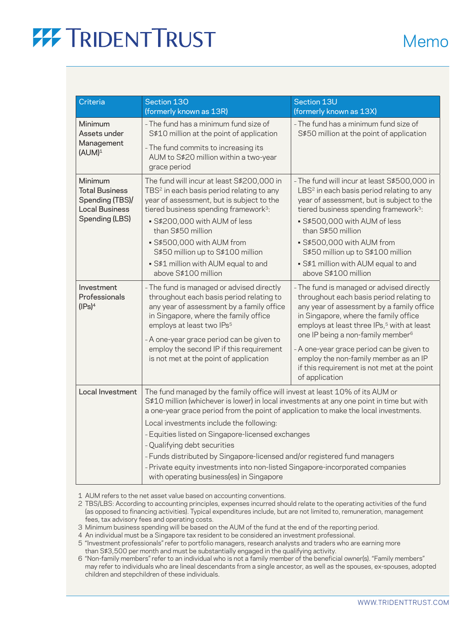# **77 TRIDENT TRUST**

| <b>Criteria</b>                                                                                | Section 130<br>(formerly known as 13R)                                                                                                                                                                                                                                                                                                                                                                                                                                                                                                                                                                       | Section 13U<br>(formerly known as 13X)                                                                                                                                                                                                                                                                                                                                                                                                        |
|------------------------------------------------------------------------------------------------|--------------------------------------------------------------------------------------------------------------------------------------------------------------------------------------------------------------------------------------------------------------------------------------------------------------------------------------------------------------------------------------------------------------------------------------------------------------------------------------------------------------------------------------------------------------------------------------------------------------|-----------------------------------------------------------------------------------------------------------------------------------------------------------------------------------------------------------------------------------------------------------------------------------------------------------------------------------------------------------------------------------------------------------------------------------------------|
| Minimum<br>Assets under<br>Management<br>$(AUM)^1$                                             | - The fund has a minimum fund size of<br>S\$10 million at the point of application<br>- The fund commits to increasing its<br>AUM to S\$20 million within a two-year<br>grace period                                                                                                                                                                                                                                                                                                                                                                                                                         | - The fund has a minimum fund size of<br>S\$50 million at the point of application                                                                                                                                                                                                                                                                                                                                                            |
| Minimum<br><b>Total Business</b><br>Spending (TBS)/<br><b>Local Business</b><br>Spending (LBS) | The fund will incur at least S\$200,000 in<br>TBS <sup>2</sup> in each basis period relating to any<br>year of assessment, but is subject to the<br>tiered business spending framework <sup>3</sup> :<br>· S\$200,000 with AUM of less<br>than S\$50 million<br>· S\$500,000 with AUM from<br>S\$50 million up to S\$100 million<br>· S\$1 million with AUM equal to and<br>above S\$100 million                                                                                                                                                                                                             | - The fund will incur at least S\$500,000 in<br>LBS <sup>2</sup> in each basis period relating to any<br>year of assessment, but is subject to the<br>tiered business spending framework <sup>3</sup> :<br>· S\$500,000 with AUM of less<br>than S\$50 million<br>· S\$500,000 with AUM from<br>S\$50 million up to S\$100 million<br>· S\$1 million with AUM equal to and<br>above S\$100 million                                            |
| Investment<br>Professionals<br>(IPs) <sup>4</sup>                                              | - The fund is managed or advised directly<br>throughout each basis period relating to<br>any year of assessment by a family office<br>in Singapore, where the family office<br>employs at least two IPs <sup>5</sup><br>- A one-year grace period can be given to<br>employ the second IP if this requirement<br>is not met at the point of application                                                                                                                                                                                                                                                      | - The fund is managed or advised directly<br>throughout each basis period relating to<br>any year of assessment by a family office<br>in Singapore, where the family office<br>employs at least three IPs, <sup>5</sup> with at least<br>one IP being a non-family member <sup>6</sup><br>- A one-year grace period can be given to<br>employ the non-family member as an IP<br>if this requirement is not met at the point<br>of application |
| Local Investment                                                                               | The fund managed by the family office will invest at least 10% of its AUM or<br>S\$10 million (whichever is lower) in local investments at any one point in time but with<br>a one-year grace period from the point of application to make the local investments.<br>Local investments include the following:<br>- Equities listed on Singapore-licensed exchanges<br>- Qualifying debt securities<br>- Funds distributed by Singapore-licensed and/or registered fund managers<br>- Private equity investments into non-listed Singapore-incorporated companies<br>with operating business(es) in Singapore |                                                                                                                                                                                                                                                                                                                                                                                                                                               |

1 AUM refers to the net asset value based on accounting conventions.

2 TBS/LBS: According to accounting principles, expenses incurred should relate to the operating activities of the fund (as opposed to financing activities). Typical expenditures include, but are not limited to, remuneration, management fees, tax advisory fees and operating costs.

3 Minimum business spending will be based on the AUM of the fund at the end of the reporting period.

4 An individual must be a Singapore tax resident to be considered an investment professional.

5 "Investment professionals" refer to portfolio managers, research analysts and traders who are earning more than S\$3,500 per month and must be substantially engaged in the qualifying activity.

6 "Non-family members" refer to an individual who is not a family member of the beneficial owner(s). "Family members" may refer to individuals who are lineal descendants from a single ancestor, as well as the spouses, ex-spouses, adopted children and stepchildren of these individuals.